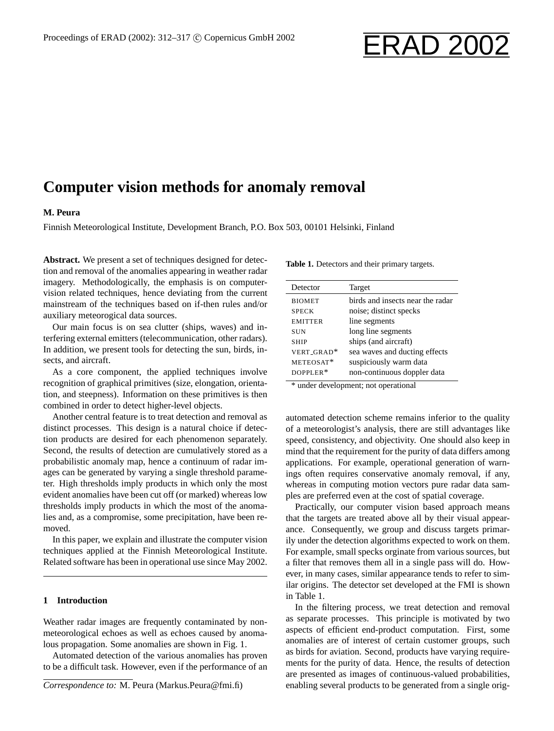# Proceedings of ERAD (2002): 312–317 © Copernicus GmbH 2002 <br>
ERAD 2002

# **Computer vision methods for anomaly removal**

#### **M. Peura**

Finnish Meteorological Institute, Development Branch, P.O. Box 503, 00101 Helsinki, Finland

**Abstract.** We present a set of techniques designed for detection and removal of the anomalies appearing in weather radar imagery. Methodologically, the emphasis is on computervision related techniques, hence deviating from the current mainstream of the techniques based on if-then rules and/or auxiliary meteorogical data sources.

Our main focus is on sea clutter (ships, waves) and interfering external emitters (telecommunication, other radars). In addition, we present tools for detecting the sun, birds, insects, and aircraft.

As a core component, the applied techniques involve recognition of graphical primitives (size, elongation, orientation, and steepness). Information on these primitives is then combined in order to detect higher-level objects.

Another central feature is to treat detection and removal as distinct processes. This design is a natural choice if detection products are desired for each phenomenon separately. Second, the results of detection are cumulatively stored as a probabilistic anomaly map, hence a continuum of radar images can be generated by varying a single threshold parameter. High thresholds imply products in which only the most evident anomalies have been cut off (or marked) whereas low thresholds imply products in which the most of the anomalies and, as a compromise, some precipitation, have been removed.

In this paper, we explain and illustrate the computer vision techniques applied at the Finnish Meteorological Institute. Related software has been in operational use since May 2002.

#### **1 Introduction**

Weather radar images are frequently contaminated by nonmeteorological echoes as well as echoes caused by anomalous propagation. Some anomalies are shown in Fig. 1.

Automated detection of the various anomalies has proven to be a difficult task. However, even if the performance of an

**Table 1.** Detectors and their primary targets.

| Detector       | Target                           |
|----------------|----------------------------------|
| <b>BIOMET</b>  | birds and insects near the radar |
| <b>SPECK</b>   | noise; distinct specks           |
| <b>EMITTER</b> | line segments                    |
| <b>SUN</b>     | long line segments               |
| <b>SHIP</b>    | ships (and aircraft)             |
| VERT GRAD*     | sea waves and ducting effects    |
| METEOSAT*      | suspiciously warm data           |
| DOPPLER*       | non-continuous doppler data      |
|                |                                  |

\* under development; not operational

automated detection scheme remains inferior to the quality of a meteorologist's analysis, there are still advantages like speed, consistency, and objectivity. One should also keep in mind that the requirement for the purity of data differs among applications. For example, operational generation of warnings often requires conservative anomaly removal, if any, whereas in computing motion vectors pure radar data samples are preferred even at the cost of spatial coverage.

Practically, our computer vision based approach means that the targets are treated above all by their visual appearance. Consequently, we group and discuss targets primarily under the detection algorithms expected to work on them. For example, small specks orginate from various sources, but a filter that removes them all in a single pass will do. However, in many cases, similar appearance tends to refer to similar origins. The detector set developed at the FMI is shown in Table 1.

In the filtering process, we treat detection and removal as separate processes. This principle is motivated by two aspects of efficient end-product computation. First, some anomalies are of interest of certain customer groups, such as birds for aviation. Second, products have varying requirements for the purity of data. Hence, the results of detection are presented as images of continuous-valued probabilities, enabling several products to be generated from a single orig-

*Correspondence to:* M. Peura (Markus.Peura@fmi.fi)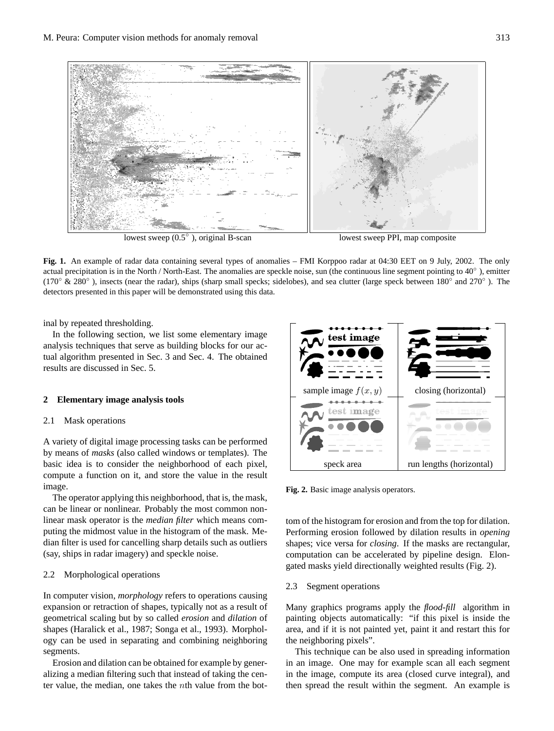

lowest sweep  $(0.5<sup>°</sup>)$ , original B-scan

lowest sweep PPI, map composite

Fig. 1. An example of radar data containing several types of anomalies – FMI Korppoo radar at 04:30 EET on 9 July, 2002. The only actual precipitation is in the North / North-East. The anomalies are speckle noise, sun (the continuous line segment pointing to  $40^{\circ}$ ), emitter  $(170^\circ \& 280^\circ)$ , insects (near the radar), ships (sharp small specks; sidelobes), and sea clutter (large speck between 180<sup>°</sup> and 270<sup>°</sup>). The detectors presented in this paper will be demonstrated using this data.

inal by repeated thresholding.

In the following section, we list some elementary image tual algorithm presented in Sec. 3 and Sec. 4. The obtained analysis techniques that serve as building blocks for our acresults are discussed in Sec. 5.

## 2 Elementary image analysis tools

#### 2.1 Mask operations

A variety of digital image processing tasks can be performed by means of *masks* (also called windows or templates). The basic idea is to consider the neighborhood of each pixel, the histogram of the masket the masket of the midmostrate for the value in the result cancelling sharp details such as outliers (say, ships in the same of the same of the same of the same of the s image. The operator applying this neighborhood, that is, variety of digital image processing tasks can be performed. the history of the mask of the mask of the mask. The mask

radar image.<br>The operator applying this neighborhood, that is, the mask, puting the midmost value in the histogram of the mask. Me-Inter to assess the computer vision of the process to operation and concelled projections of the set of the set of the set of the set of the set of the set of the set of the set of the set of the set of the set of the set (say, ships in radar imagery) and speckle noise. can be linear or nonlinear. Probably the most common nonlinear mask operator is the *median filter* which means comdian filter is used for cancelling sharp details such as outliers

## 2.2 Morphological operations  $\mathbb Z$  result of geometrical scaling but by so called by so called but by so called by so called by so called by so called by so called by so called by so called by so called by so called by so called by so called by so c

In computer vision, *morphology* refers to operations causing expansion or retraction of shapes, typically not as a result of geometrical scaling but by so called *erosion* and *dilation* of shapes (Haralick et al., 1987; Songa et al., 1993). Morphology can be used in separating and combining neighboring segments.  $\alpha$  and the histogram for the histogram for  $\alpha$ segments.

Erosion and dilation can be obtained for example by generalizing a median filtering such that instead of taking the center value, the median, one takes the *nth* value from the bot-



**Fig. 2**. Basic image analysis operators. **Fig. 2.** Basic image analysis operators.

tom of the histogram for erosion and from the top for dilation. Performing erosion followed by dilation results in *opening* shapes; vice versa for *closing*. If the masks are rectangular, computation can be accelerated by pipeline design. Elongated masks yield directionally weighted results (Fig. 2).

#### Segment operations  $\mathcal{O}$  in an image. One may for example scan all  $\mathcal{O}$ 2.3 Segment operations

Many graphics programs apply the *flood-fill* algorithm in each y graphics programs apply and younger ingervants in painting objects automatically: "if this pixel is inside the area, and if it is not painted yet, paint it and restart this for the neighboring pixels".

This technique can be also used in spreading information in an image. One may for example scan all each segment in the image, compute its area (closed curve integral), and then spread the result within the segment. An example is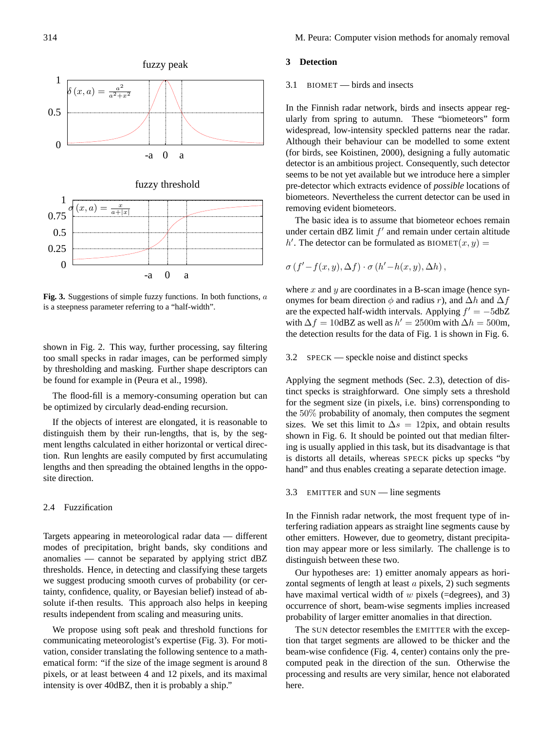

**Fig. 3**. Suggestions of simple fuzzy functions. In is a steepness parameter referring to a "half-width". Fig. 3. Suggestions of simple fuzzy functions. In both functions, a

by thresholding and masking. Further shape descriptors can shown in Fig. 2. This way, further processing, say filtering too small specks in radar images, can be performed simply be found for example in (Peura et al., 1998).

The flood-fill is a memory-consuming operation but can be optimized by circularly dead-ending recursion.

If the objects of interest are elongated, it is reasonable to distinguish them by their run-lengths, that is, by the segment lengths calculated in either horizontal or vertical direction. Run lenghts are easily computed by first accumulating lengths and then spreading the obtained lengths in the opposite direction.

#### 2.4 Fuzzification

Targets appearing in meteorological radar data — different modes of precipitation, bright bands, sky conditions and anomalies — cannot be separated by applying strict dBZ thresholds. Hence, in detecting and classifying these targets we suggest producing smooth curves of probability (or certainty, confidence, quality, or Bayesian belief) instead of absolute if-then results. This approach also helps in keeping results independent from scaling and measuring units.

We propose using soft peak and threshold functions for communicating meteorologist's expertise (Fig. 3). For motivation, consider translating the following sentence to a mathematical form: "if the size of the image segment is around 8 pixels, or at least between 4 and 12 pixels, and its maximal intensity is over 40dBZ, then it is probably a ship."

# Applying the segment methods (Sec. 2.3), detection of **3 Detection**

# $3.1$  BIOMET — birds and insects

In the Finnish radar network, birds and insects appear regularly from spring to autumn. These "biometeors" form widespread, low-intensity speckled patterns near the radar. widespread, low-intensity speckled patterns near the radar.<br>Although their behaviour can be modelled to some extent (for birds, see Koistinen, 2000), designing a fully automatic detector is an ambitious project. Consequently, such detector **3.3** EMITTER **and** SUNDER **EMITTER** SUNDER **EXECUTE** seems to be not yet available but we introduce here a simpler pre-detector which extracts evidence of *possible* locations of biometeors. Nevertheless the current detector can be used in

The basic idea is to assume that biometeor echoes remain under certain dBZ limit  $f'$  and remain under certain altitude  $i'$ . The detector can be formulated as  $BIONET(x, y)$  =  $h'$ . The detector can be formulated as BIOMET $(x, y)$  = The basic idea is to assume that biometeor echoes remain

$$
\sigma(f'-f(x,y),\Delta f)\cdot \sigma(h'-h(x,y),\Delta h),
$$

where  $x$  and  $y$  are coordinates in a B-scan image (hence synonymes for beam direction  $\phi$  and radius r), and ∆h and ∆f are the expected half-width intervals. Applying  $f' = -5dbZ$ with  $\Delta f = 10 \text{dBZ}$  as well as  $h' = 2500 \text{m}$  with  $\Delta h = 500 \text{m}$ , the detection results for the data of Fig. 1 is shown in Fig. 6.

ter anomalies in that direction.  $3.2$  SPECK — speckle noise and distinct specks

Applying the segment methods (Sec. 2.3), detection of disthe beam-wise contained (Sec. 2.6), accessor of all tinct specks is straighforward. One simply sets a threshold for the segment size (in pixels, i.e. bins) corrensponding to the 50% probability of anomaly, then computes the segment sizes. We set this limit to  $\Delta s = 12$ pix, and obtain results shown in Fig. 6. It should be pointed out that median filtering is usually applied in this task, but its disadvantage is that is distorts all details, whereas SPECK picks up specks "by hand" and thus enables creating a separate detection image.

#### 3.3 EMITTER and SUN — line segments

In the Finnish radar network, the most frequent type of interfering radiation appears as straight line segments cause by other emitters. However, due to geometry, distant precipitation may appear more or less similarly. The challenge is to distinguish between these two.

Our hypotheses are: 1) emitter anomaly appears as horizontal segments of length at least  $\alpha$  pixels, 2) such segments have maximal vertical width of  $w$  pixels (=degrees), and 3) occurrence of short, beam-wise segments implies increased probability of larger emitter anomalies in that direction.

The SUN detector resembles the EMITTER with the exception that target segments are allowed to be thicker and the beam-wise confidence (Fig. 4, center) contains only the precomputed peak in the direction of the sun. Otherwise the processing and results are very similar, hence not elaborated here.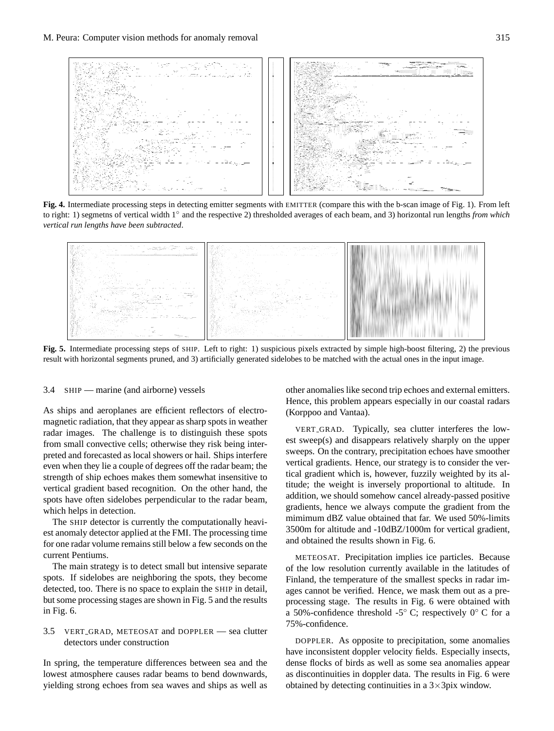

to right: 1) segmeths of vertical width  $1^{\circ}$  and the respective 2) thresholded averages of each beam, and 3) horizontal run lengths from which *vertical run lengths have been subtracted.* Fig. 4. Intermediate processing steps in detecting emitter segments with EMITTER (compare this with the b-scan image of Fig. 1). From left



result with horizontal segments pruned, and 3) artificially generated sidelobes to be matched with the actual ones in the input image.  $\frac{1}{2}$  the previous result with horizontal segments produced sidelobes to be matched sidelobes to be matched sidelobes to be matched sidelobes to be matched sidelobes to be matched sidelobes to be matched sidelobes to **Fig. 5.** Intermediate processing steps of SHIP. Left to right: 1) suspicious pixels extracted by simple high-boost filtering, 2) the previous

3.4 SHIP — marine (and airborne) vessels

Fig. 5. The challenge is to distinguish these spots vERT<sub>-GRAD</sub>. Typically, sea clutter interferes the lowfrom small convective cells; otherwise they isk being inter-<br>from small convective cells; otherwise they isk being inter-<br>sweeps. On the contrary, precipitation echoes have smoother preced and rorecasted as focult showers of hard. Single interference even when they lie a couple of degrees off the radar beam; the spots have onen sidenotes perpendicular to the radial beam<br>which helps in detection. As ships and aeroplanes are efficient reflectors of electroradar images. The challenge is to distinguish these spots preted and forecasted as local showers or hail. Ships interfere strength of ship echoes makes them somewhat insensitive to vertical gradient based recognition. On the other hand, the spots have often sidelobes perpendicular to the radar beam, magnetic radiation, that they appear as sharp spots in weather

est anomaly detector applied at the FMI. The processing time for one radar volume remains still below a few seconds on the<br>current Pentiums The SHIP detector is currently the computationally heavicurrent Pentiums.

The main strategy is to detect small but intensive separate spots. If sidelobes are neighboring the spots, they become<br>detected too. There is no appea to evalue the sum in detail but some processing stages are shown in Fig. 5 and the results  $\sin$  Fig. 6. detected, too. There is no space to explain the SHIP in detail,  $\log$ . 6. in Fig. 6.

## 3.5 VERT\_GRAD, METEOSAT and DOPPLER — sea clutte detectors under construction 3.5 VERT\_GRAD, METEOSAT and DOPPLER — sea clutter

In spring, the temperature differences between sea and the lowest atmosphere causes radar beams to bend downwards, violding strong caboos from sea ways and shine as well as  $b^{\text{boundary}}$ yielding strong echoes from sea waves and ships as well as

external emitters. Hence, this problem appears espe-(Korppoo and Vantaa).  $\frac{1}{\sqrt{2}}$  in our coastal radars (Korp other anomalies like second trip echoes and external emitters. Hence, this problem appears especially in our coastal radars

gradients, hence we always compute the gradient from the ilmimum dBZ value obtained that far. We used 50%-limits<br>500m for altitude and  $10\text{dB}Z/1000\text{m}$  for vertical gradiant  $\frac{1}{2000 \text{ m}}$  for anticide and  $\frac{1}{2000 \text{ m}}$  for  $\frac{1}{2000 \text{ m}}$  for vertical gradient, VERT\_GRAD. Typically, sea clutter interferes the VERT GRAD. Typically, sea clutter interferes the lowest sweep(s) and disappears relatively sharply on the upper sweeps. On the contrary, precipitation echoes have smoother vertical gradients. Hence, our strategy is to consider the vertical gradient which is, however, fuzzily weighted by its alfutude; the weight is inversely proportional to altitude. In addition, we should somehow cancel already-passed positive how cancel already-passed positive gradients, hence mimimum dBZ value obtained that far. We used 50%-limits mimimum dDZ value obtained that fail. We used 50% mimis and obtained the results shown in Fig. 6.

METEOSAT. Precipitation implies ice particles. Because of the low resolution currently available in the latitudes of I mand, the temperature of the smallest speeks in radial in-<br>ages cannot be verified. Hence, we mask them out as a preprocessing stage. The results in Fig. 6 were obtained with  $\frac{1}{2}$ a 50%-confidence threshold -5° C; respectively 0° C for a 75%-confidence. Finland, the temperature of the smallest specks in radar im- $75%$ -confidence.

DOPPLER. As opposite to precipitation, some anomalies have inconsistent doppler velocity fields. Especially insects, dense flocks of birds as well as some sea anomalies appear<br>as discontinuities in doppler data. The results in  $\text{Ei}$  6 were obtained by detecting continuities in a  $3 \times 3$ pix window. as discontinuities in doppler data. The results in Fig. 6 were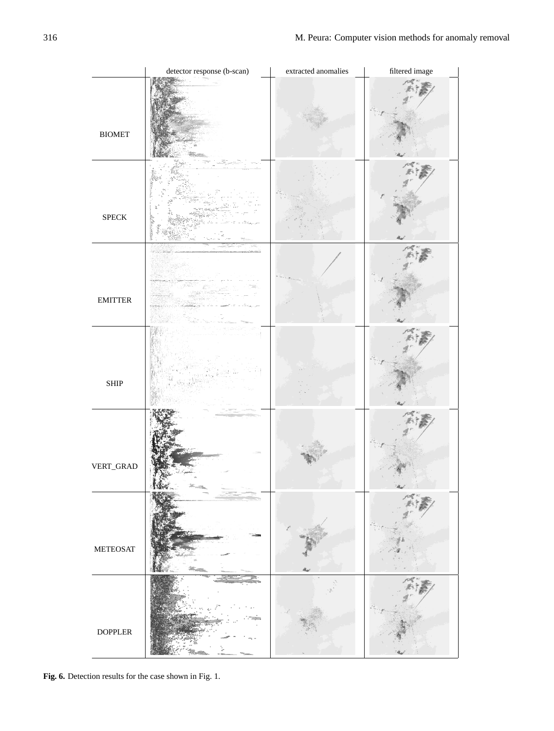|                         | detector response (b-scan) | extracted anomalies | filtered image |
|-------------------------|----------------------------|---------------------|----------------|
| $\operatorname{BIOMET}$ |                            |                     |                |
| ${\rm SPECK}$           |                            |                     |                |
| <b>EMITTER</b>          |                            |                     |                |
| <b>SHIP</b>             |                            |                     |                |
| VERT_GRAD               |                            |                     |                |
| <b>METEOSAT</b>         |                            |                     |                |
| <b>DOPPLER</b>          |                            |                     |                |

**Fig. 6**. Detection results for the case shown in Fig. 1. **Fig. 6.** Detection results for the case shown in Fig. 1.